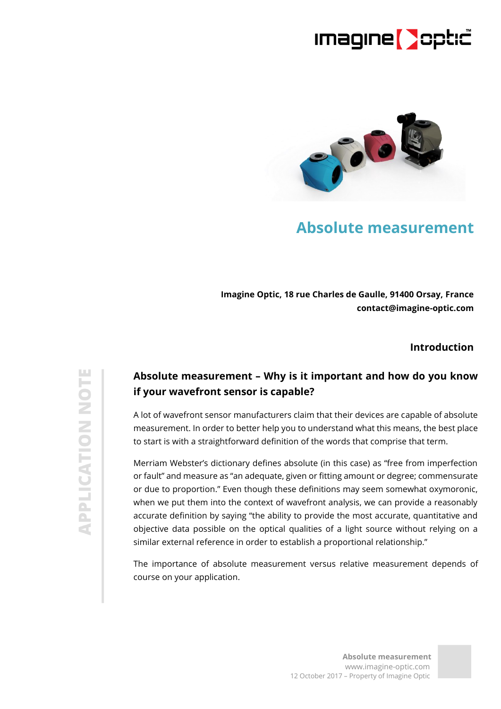### **Imagine Deptic**



### **Absolute measurement**

**Imagine Optic, 18 rue Charles de Gaulle, 91400 Orsay, France contact@imagine-optic.com**

#### **Introduction**

### **Absolute measurement – Why is it important and how do you know if your wavefront sensor is capable?**

A lot of wavefront sensor manufacturers claim that their devices are capable of absolute measurement. In order to better help you to understand what this means, the best place to start is with a straightforward definition of the words that comprise that term.

Merriam Webster's dictionary defines absolute (in this case) as "free from imperfection or fault" and measure as "an adequate, given or fitting amount or degree; commensurate or due to proportion." Even though these definitions may seem somewhat oxymoronic, when we put them into the context of wavefront analysis, we can provide a reasonably accurate definition by saying "the ability to provide the most accurate, quantitative and objective data possible on the optical qualities of a light source without relying on a similar external reference in order to establish a proportional relationship."

The importance of absolute measurement versus relative measurement depends of course on your application.

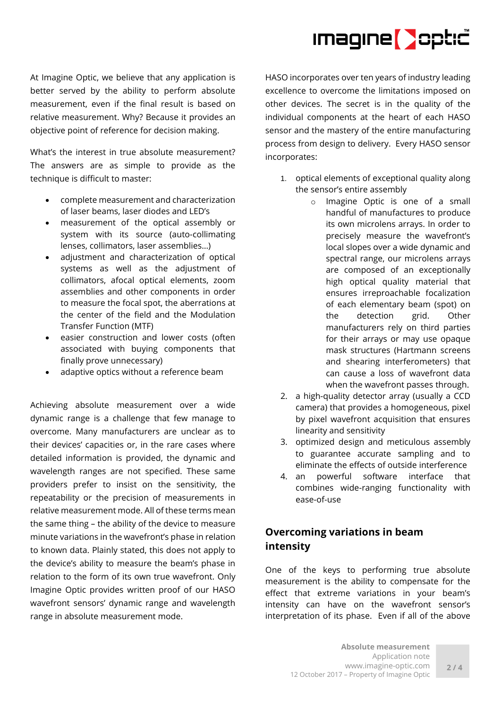# Imagine **D**optic

At Imagine Optic, we believe that any application is better served by the ability to perform absolute measurement, even if the final result is based on relative measurement. Why? Because it provides an objective point of reference for decision making.

What's the interest in true absolute measurement? The answers are as simple to provide as the technique is difficult to master:

- complete measurement and characterization of laser beams, laser diodes and LED's
- measurement of the optical assembly or system with its source (auto-collimating lenses, collimators, laser assemblies…)
- adjustment and characterization of optical systems as well as the adjustment of collimators, afocal optical elements, zoom assemblies and other components in order to measure the focal spot, the aberrations at the center of the field and the Modulation Transfer Function (MTF)
- easier construction and lower costs (often associated with buying components that finally prove unnecessary)
- adaptive optics without a reference beam

Achieving absolute measurement over a wide dynamic range is a challenge that few manage to overcome. Many manufacturers are unclear as to their devices' capacities or, in the rare cases where detailed information is provided, the dynamic and wavelength ranges are not specified. These same providers prefer to insist on the sensitivity, the repeatability or the precision of measurements in relative measurement mode. All of these terms mean the same thing – the ability of the device to measure minute variations in the wavefront's phase in relation to known data. Plainly stated, this does not apply to the device's ability to measure the beam's phase in relation to the form of its own true wavefront. Only Imagine Optic provides written proof of our HASO wavefront sensors' dynamic range and wavelength range in absolute measurement mode.

HASO incorporates over ten years of industry leading excellence to overcome the limitations imposed on other devices. The secret is in the quality of the individual components at the heart of each HASO sensor and the mastery of the entire manufacturing process from design to delivery. Every HASO sensor incorporates:

- 1. optical elements of exceptional quality along the sensor's entire assembly
	- o Imagine Optic is one of a small handful of manufactures to produce its own microlens arrays. In order to precisely measure the wavefront's local slopes over a wide dynamic and spectral range, our microlens arrays are composed of an exceptionally high optical quality material that ensures irreproachable focalization of each elementary beam (spot) on the detection grid. Other manufacturers rely on third parties for their arrays or may use opaque mask structures (Hartmann screens and shearing interferometers) that can cause a loss of wavefront data when the wavefront passes through.
- 2. a high-quality detector array (usually a CCD camera) that provides a homogeneous, pixel by pixel wavefront acquisition that ensures linearity and sensitivity
- 3. optimized design and meticulous assembly to guarantee accurate sampling and to eliminate the effects of outside interference
- 4. an powerful software interface that combines wide-ranging functionality with ease-of-use

#### **Overcoming variations in beam intensity**

One of the keys to performing true absolute measurement is the ability to compensate for the effect that extreme variations in your beam's intensity can have on the wavefront sensor's interpretation of its phase. Even if all of the above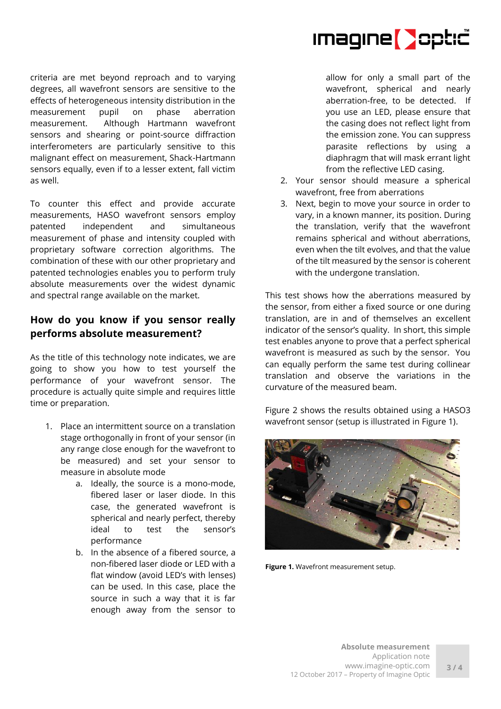Imagine **D**optic

criteria are met beyond reproach and to varying degrees, all wavefront sensors are sensitive to the effects of heterogeneous intensity distribution in the measurement pupil on phase aberration measurement. Although Hartmann wavefront sensors and shearing or point-source diffraction interferometers are particularly sensitive to this malignant effect on measurement, Shack-Hartmann sensors equally, even if to a lesser extent, fall victim as well.

To counter this effect and provide accurate measurements, HASO wavefront sensors employ patented independent and simultaneous measurement of phase and intensity coupled with proprietary software correction algorithms. The combination of these with our other proprietary and patented technologies enables you to perform truly absolute measurements over the widest dynamic and spectral range available on the market.

#### **How do you know if you sensor really performs absolute measurement?**

As the title of this technology note indicates, we are going to show you how to test yourself the performance of your wavefront sensor. The procedure is actually quite simple and requires little time or preparation.

- 1. Place an intermittent source on a translation stage orthogonally in front of your sensor (in any range close enough for the wavefront to be measured) and set your sensor to measure in absolute mode
	- a. Ideally, the source is a mono-mode, fibered laser or laser diode. In this case, the generated wavefront is spherical and nearly perfect, thereby ideal to test the sensor's performance
	- b. In the absence of a fibered source, a non-fibered laser diode or LED with a flat window (avoid LED's with lenses) can be used. In this case, place the source in such a way that it is far enough away from the sensor to

allow for only a small part of the wavefront, spherical and nearly aberration-free, to be detected. If you use an LED, please ensure that the casing does not reflect light from the emission zone. You can suppress parasite reflections by using a diaphragm that will mask errant light from the reflective LED casing.

- 2. Your sensor should measure a spherical wavefront, free from aberrations
- 3. Next, begin to move your source in order to vary, in a known manner, its position. During the translation, verify that the wavefront remains spherical and without aberrations, even when the tilt evolves, and that the value of the tilt measured by the sensor is coherent with the undergone translation.

This test shows how the aberrations measured by the sensor, from either a fixed source or one during translation, are in and of themselves an excellent indicator of the sensor's quality. In short, this simple test enables anyone to prove that a perfect spherical wavefront is measured as such by the sensor. You can equally perform the same test during collinear translation and observe the variations in the curvature of the measured beam.

Figure 2 shows the results obtained using a HASO3 wavefront sensor (setup is illustrated in Figure 1).



**Figure 1.** Wavefront measurement setup.

**3 / 4**